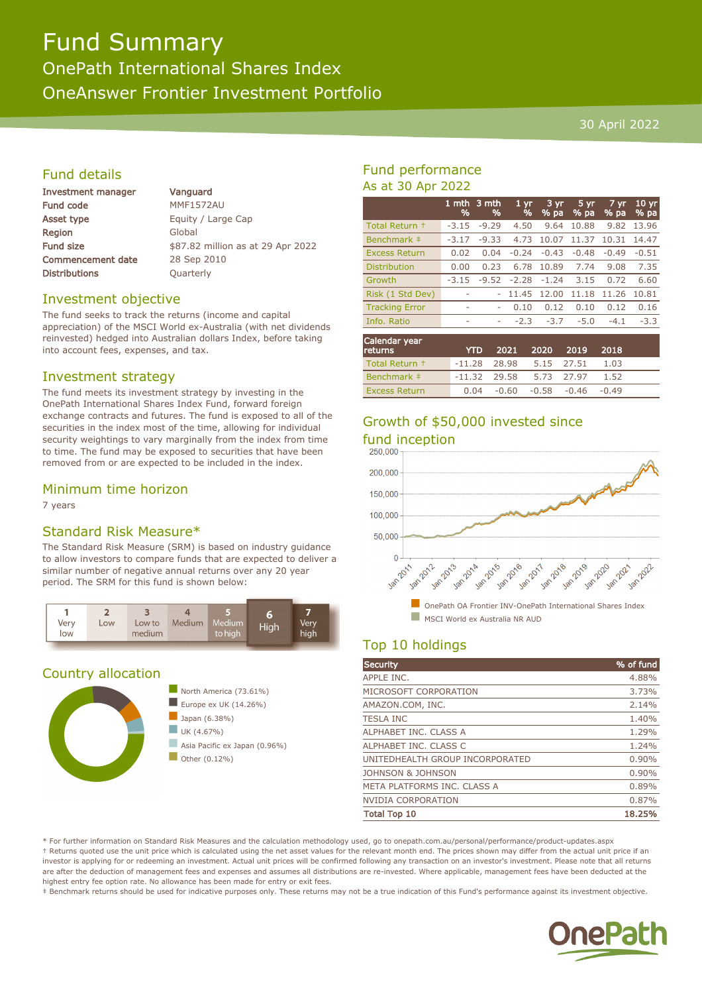# Fund Summary

OnePath International Shares Index OneAnswer Frontier Investment Portfolio

## 30 April 2022

## Fund details

| Investment manager       |  |  |
|--------------------------|--|--|
| <b>Fund code</b>         |  |  |
| Asset type               |  |  |
| Region                   |  |  |
| <b>Fund size</b>         |  |  |
| <b>Commencement date</b> |  |  |
| <b>Distributions</b>     |  |  |

Vanguard MMF1572AU Equity / Large Cap Global \$87.82 million as at 29 Apr 2022 28 Sep 2010 **Quarterly** 

## Investment objective

The fund seeks to track the returns (income and capital appreciation) of the MSCI World ex-Australia (with net dividends reinvested) hedged into Australian dollars Index, before taking into account fees, expenses, and tax.

#### Investment strategy

The fund meets its investment strategy by investing in the OnePath International Shares Index Fund, forward foreign exchange contracts and futures. The fund is exposed to all of the securities in the index most of the time, allowing for individual security weightings to vary marginally from the index from time to time. The fund may be exposed to securities that have been removed from or are expected to be included in the index.

## Minimum time horizon

7 years

## Standard Risk Measure\*

The Standard Risk Measure (SRM) is based on industry guidance to allow investors to compare funds that are expected to deliver a similar number of negative annual returns over any 20 year period. The SRM for this fund is shown below:



## Country allocation



## Fund performance As at 30 Apr 2022

|                       | %       | 1 mth 3 mth<br>% | 1 <sub>yr</sub><br>% | 3 yr.<br>% pa | $5 \,\mathrm{yr}$<br>% pa | 7 yr<br>% pa | $10 \text{ yr}$<br>% pa |
|-----------------------|---------|------------------|----------------------|---------------|---------------------------|--------------|-------------------------|
| Total Return +        | $-3.15$ | $-9.29$          | 4.50                 | 9.64          | 10.88                     | 9.82         | 13.96                   |
| Benchmark ‡           | $-3.17$ | $-9.33$          | 4.73                 | 10.07         | 11.37                     | 10.31        | 14.47                   |
| <b>Excess Return</b>  | 0.02    | 0.04             | $-0.24$              | $-0.43$       | $-0.48$                   | $-0.49$      | $-0.51$                 |
| <b>Distribution</b>   | 0.00    | 0.23             | 6.78                 | 10.89         | 7.74                      | 9.08         | 7.35                    |
| Growth                | $-3.15$ | $-9.52$          | $-2.28$              | $-1.24$       | 3.15                      | 0.72         | 6.60                    |
| Risk (1 Std Dev)      | ۰       |                  | 11.45                | 12.00         | 11.18                     | 11.26        | 10.81                   |
| <b>Tracking Error</b> | ۰       | ۰                | 0.10                 | 0.12          | 0.10                      | 0.12         | 0.16                    |
| Info. Ratio           | ۰       | ۰                | $-2.3$               | $-3.7$        | $-5.0$                    | $-4.1$       | $-3.3$                  |
|                       |         |                  |                      |               |                           |              |                         |

| Calendar year<br><b>returns</b> | <b>YTD</b>                |  | 2021 2020 2019 2018            |         |  |
|---------------------------------|---------------------------|--|--------------------------------|---------|--|
| Total Return +                  | $-11.28$ 28.98 5.15 27.51 |  |                                | $-1.03$ |  |
| Benchmark #                     | $-11.32$ 29.58 5.73 27.97 |  |                                | 1.52    |  |
| <b>Excess Return</b>            |                           |  | $0.04 -0.60 -0.58 -0.46 -0.49$ |         |  |

## Growth of \$50,000 invested since



## Top 10 holdings

| <b>Security</b>                 | % of fund |
|---------------------------------|-----------|
| APPLE INC.                      | 4.88%     |
| MICROSOFT CORPORATION           | 3.73%     |
| AMAZON.COM, INC.                | 2.14%     |
| <b>TESLA INC</b>                | 1.40%     |
| ALPHABET INC. CLASS A           | 1.29%     |
| ALPHABET INC. CLASS C           | 1.24%     |
| UNITEDHEALTH GROUP INCORPORATED | 0.90%     |
| JOHNSON & JOHNSON               | 0.90%     |
| META PLATFORMS INC. CLASS A     | 0.89%     |
| <b>NVIDIA CORPORATION</b>       | 0.87%     |
| <b>Total Top 10</b>             | 18.25%    |

\* For further information on Standard Risk Measures and the calculation methodology used, go to onepath.com.au/personal/performance/product-updates.aspx † Returns quoted use the unit price which is calculated using the net asset values for the relevant month end. The prices shown may differ from the actual unit price if an investor is applying for or redeeming an investment. Actual unit prices will be confirmed following any transaction on an investor's investment. Please note that all returns are after the deduction of management fees and expenses and assumes all distributions are re-invested. Where applicable, management fees have been deducted at the highest entry fee option rate. No allowance has been made for entry or exit fees.

‡ Benchmark returns should be used for indicative purposes only. These returns may not be a true indication of this Fund's performance against its investment objective.